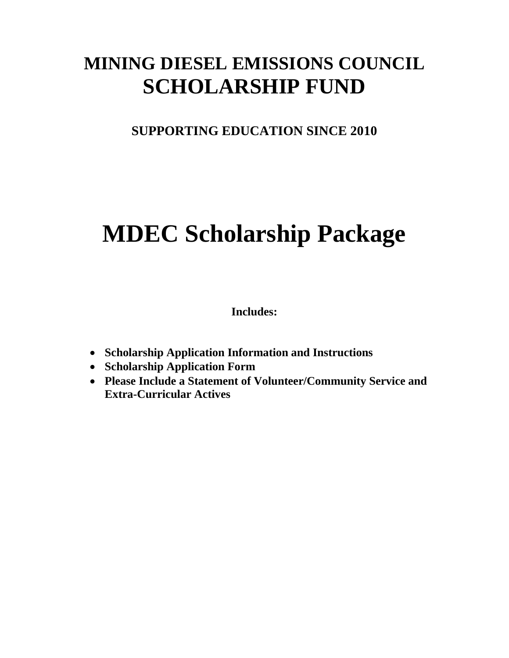# **MINING DIESEL EMISSIONS COUNCIL SCHOLARSHIP FUND**

**SUPPORTING EDUCATION SINCE 2010**

# **MDEC Scholarship Package**

**Includes:**

- **Scholarship Application Information and Instructions**
- **Scholarship Application Form**
- **Please Include a Statement of Volunteer/Community Service and Extra-Curricular Actives**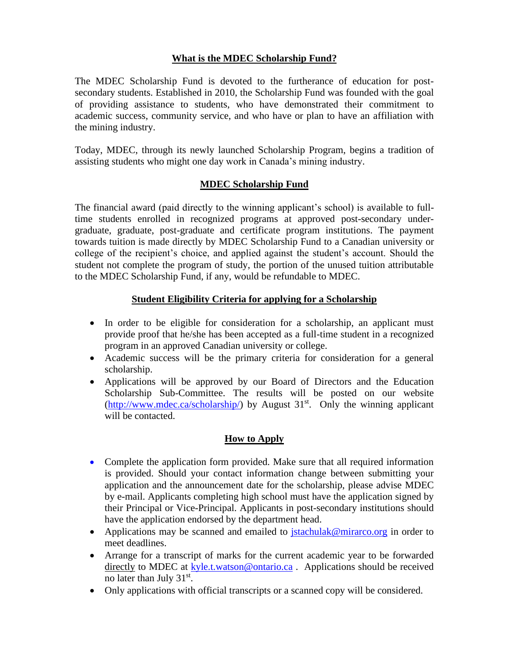## **What is the MDEC Scholarship Fund?**

The MDEC Scholarship Fund is devoted to the furtherance of education for postsecondary students. Established in 2010, the Scholarship Fund was founded with the goal of providing assistance to students, who have demonstrated their commitment to academic success, community service, and who have or plan to have an affiliation with the mining industry.

Today, MDEC, through its newly launched Scholarship Program, begins a tradition of assisting students who might one day work in Canada's mining industry.

#### **MDEC Scholarship Fund**

The financial award (paid directly to the winning applicant's school) is available to fulltime students enrolled in recognized programs at approved post-secondary undergraduate, graduate, post-graduate and certificate program institutions. The payment towards tuition is made directly by MDEC Scholarship Fund to a Canadian university or college of the recipient's choice, and applied against the student's account. Should the student not complete the program of study, the portion of the unused tuition attributable to the MDEC Scholarship Fund, if any, would be refundable to MDEC.

#### **Student Eligibility Criteria for applying for a Scholarship**

- In order to be eligible for consideration for a scholarship, an applicant must provide proof that he/she has been accepted as a full-time student in a recognized program in an approved Canadian university or college.
- Academic success will be the primary criteria for consideration for a general scholarship.
- Applications will be approved by our Board of Directors and the Education Scholarship Sub-Committee. The results will be posted on our website  $(http://www.mdec.ca/scholarship/)$  by August 31<sup>st</sup>. Only the winning applicant will be contacted.

#### **How to Apply**

- Complete the application form provided. Make sure that all required information is provided. Should your contact information change between submitting your application and the announcement date for the scholarship, please advise MDEC by e-mail. Applicants completing high school must have the application signed by their Principal or Vice-Principal. Applicants in post-secondary institutions should have the application endorsed by the department head.
- Applications may be scanned and emailed to *[jstachulak@mirarco.org](mailto:jstachulak@mirarco.org)* in order to meet deadlines.
- Arrange for a transcript of marks for the current academic year to be forwarded directly to MDEC at [kyle.t.watson@ontario.ca](mailto:kyle.t.watson@ontario.ca). Applications should be received no later than July 31<sup>st</sup>.
- Only applications with official transcripts or a scanned copy will be considered.